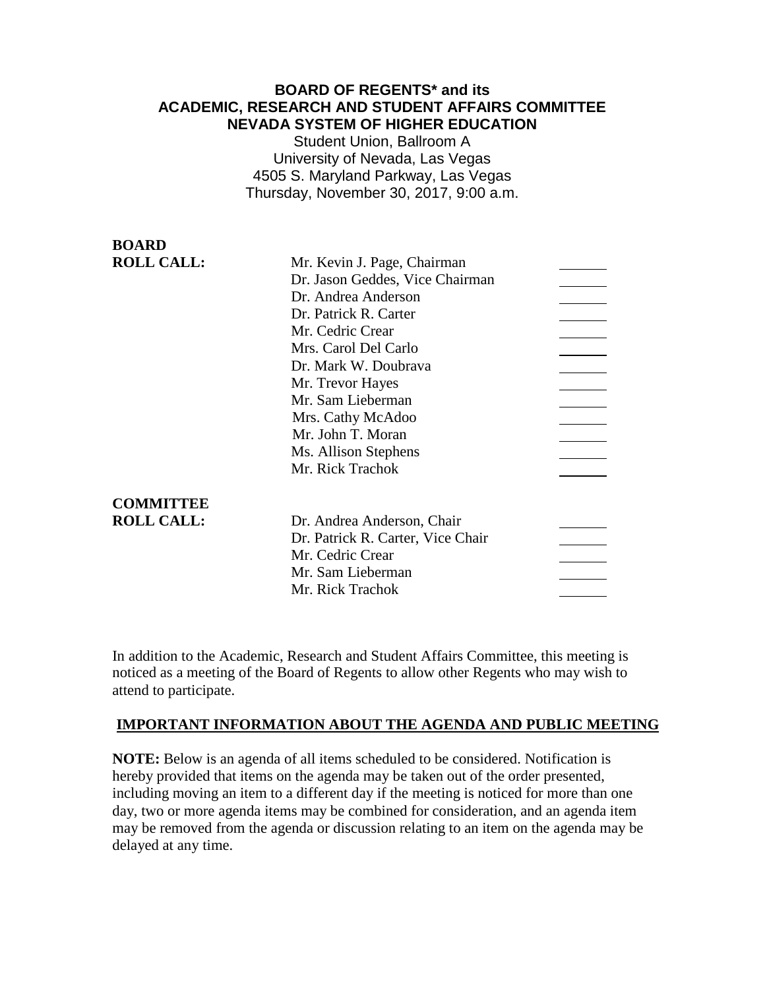# **BOARD OF REGENTS\* and its ACADEMIC, RESEARCH AND STUDENT AFFAIRS COMMITTEE NEVADA SYSTEM OF HIGHER EDUCATION**

Student Union, Ballroom A University of Nevada, Las Vegas 4505 S. Maryland Parkway, Las Vegas Thursday, November 30, 2017, 9:00 a.m.

| <b>BOARD</b>      |                                   |  |
|-------------------|-----------------------------------|--|
| <b>ROLL CALL:</b> | Mr. Kevin J. Page, Chairman       |  |
|                   | Dr. Jason Geddes, Vice Chairman   |  |
|                   | Dr. Andrea Anderson               |  |
|                   | Dr. Patrick R. Carter             |  |
|                   | Mr. Cedric Crear                  |  |
|                   | Mrs. Carol Del Carlo              |  |
|                   | Dr. Mark W. Doubrava              |  |
|                   | Mr. Trevor Hayes                  |  |
|                   | Mr. Sam Lieberman                 |  |
|                   | Mrs. Cathy McAdoo                 |  |
|                   | Mr. John T. Moran                 |  |
|                   | Ms. Allison Stephens              |  |
|                   | Mr. Rick Trachok                  |  |
| <b>COMMITTEE</b>  |                                   |  |
| <b>ROLL CALL:</b> | Dr. Andrea Anderson, Chair        |  |
|                   | Dr. Patrick R. Carter, Vice Chair |  |
|                   | Mr. Cedric Crear                  |  |
|                   | Mr. Sam Lieberman                 |  |
|                   | Mr. Rick Trachok                  |  |

In addition to the Academic, Research and Student Affairs Committee, this meeting is noticed as a meeting of the Board of Regents to allow other Regents who may wish to attend to participate.

# **IMPORTANT INFORMATION ABOUT THE AGENDA AND PUBLIC MEETING**

**NOTE:** Below is an agenda of all items scheduled to be considered. Notification is hereby provided that items on the agenda may be taken out of the order presented, including moving an item to a different day if the meeting is noticed for more than one day, two or more agenda items may be combined for consideration, and an agenda item may be removed from the agenda or discussion relating to an item on the agenda may be delayed at any time.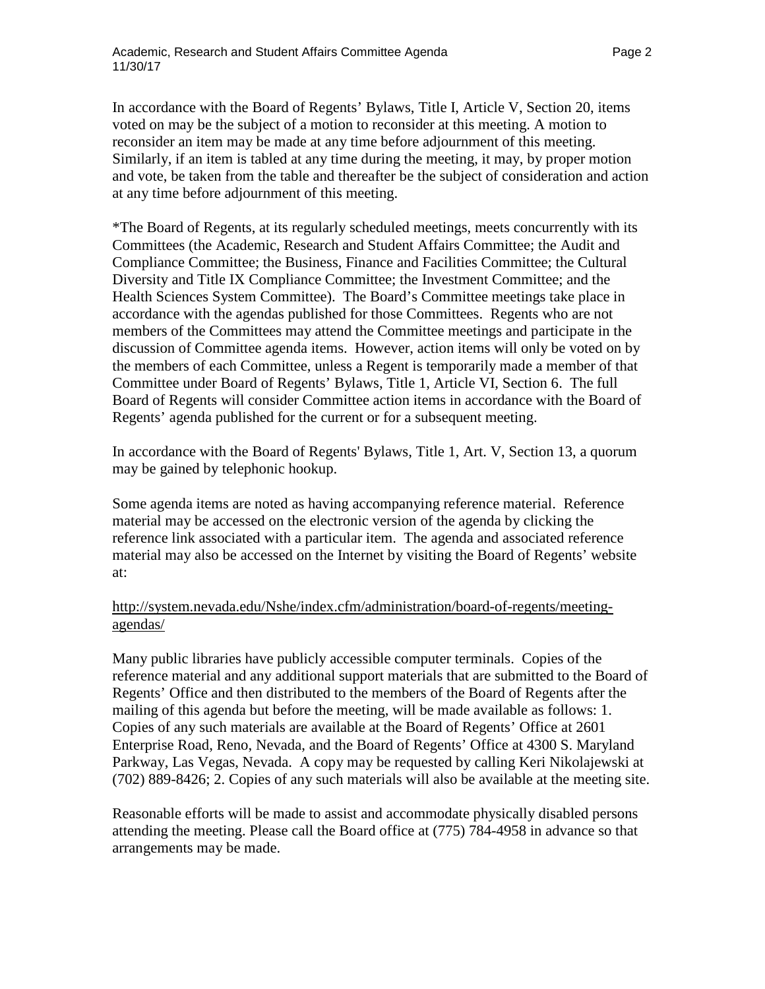In accordance with the Board of Regents' Bylaws, Title I, Article V, Section 20, items voted on may be the subject of a motion to reconsider at this meeting. A motion to reconsider an item may be made at any time before adjournment of this meeting. Similarly, if an item is tabled at any time during the meeting, it may, by proper motion and vote, be taken from the table and thereafter be the subject of consideration and action at any time before adjournment of this meeting.

\*The Board of Regents, at its regularly scheduled meetings, meets concurrently with its Committees (the Academic, Research and Student Affairs Committee; the Audit and Compliance Committee; the Business, Finance and Facilities Committee; the Cultural Diversity and Title IX Compliance Committee; the Investment Committee; and the Health Sciences System Committee). The Board's Committee meetings take place in accordance with the agendas published for those Committees. Regents who are not members of the Committees may attend the Committee meetings and participate in the discussion of Committee agenda items. However, action items will only be voted on by the members of each Committee, unless a Regent is temporarily made a member of that Committee under Board of Regents' Bylaws, Title 1, Article VI, Section 6. The full Board of Regents will consider Committee action items in accordance with the Board of Regents' agenda published for the current or for a subsequent meeting.

In accordance with the Board of Regents' Bylaws, Title 1, Art. V, Section 13, a quorum may be gained by telephonic hookup.

Some agenda items are noted as having accompanying reference material. Reference material may be accessed on the electronic version of the agenda by clicking the reference link associated with a particular item. The agenda and associated reference material may also be accessed on the Internet by visiting the Board of Regents' website at:

## [http://system.nevada.edu/Nshe/index.cfm/administration/board-of-regents/meeting](http://system.nevada.edu/Nshe/index.cfm/administration/board-of-regents/meeting-agendas/)[agendas/](http://system.nevada.edu/Nshe/index.cfm/administration/board-of-regents/meeting-agendas/)

Many public libraries have publicly accessible computer terminals. Copies of the reference material and any additional support materials that are submitted to the Board of Regents' Office and then distributed to the members of the Board of Regents after the mailing of this agenda but before the meeting, will be made available as follows: 1. Copies of any such materials are available at the Board of Regents' Office at 2601 Enterprise Road, Reno, Nevada, and the Board of Regents' Office at 4300 S. Maryland Parkway, Las Vegas, Nevada. A copy may be requested by calling Keri Nikolajewski at (702) 889-8426; 2. Copies of any such materials will also be available at the meeting site.

Reasonable efforts will be made to assist and accommodate physically disabled persons attending the meeting. Please call the Board office at (775) 784-4958 in advance so that arrangements may be made.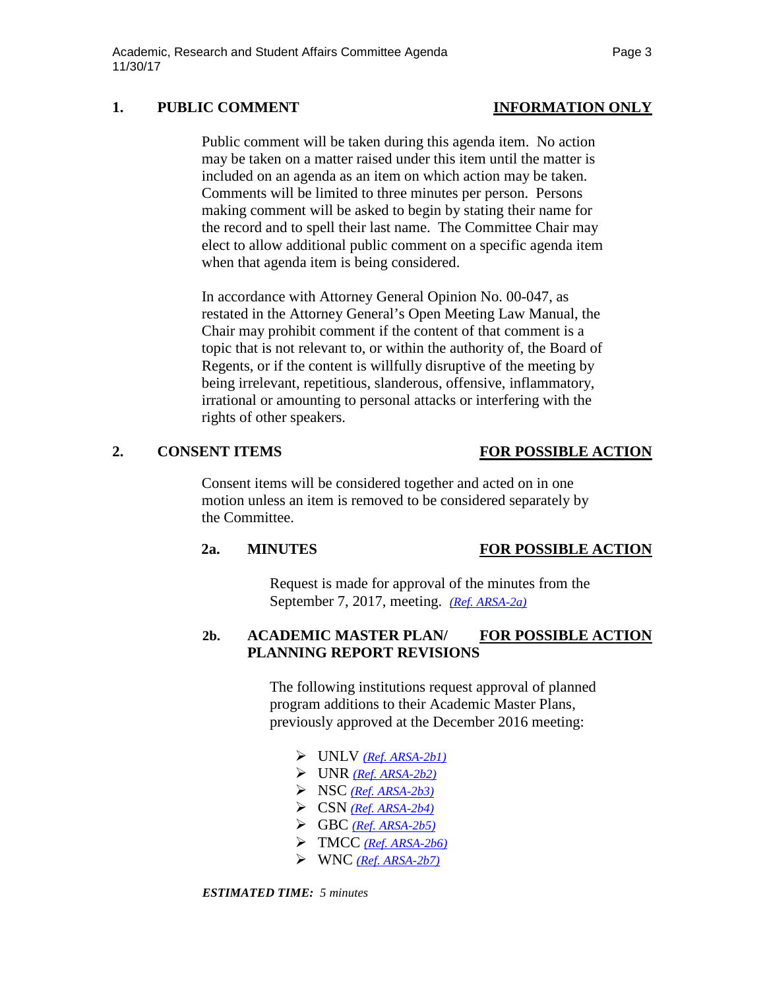# 1. PUBLIC COMMENT **INFORMATION** ONLY

Public comment will be taken during this agenda item. No action may be taken on a matter raised under this item until the matter is included on an agenda as an item on which action may be taken. Comments will be limited to three minutes per person. Persons making comment will be asked to begin by stating their name for the record and to spell their last name. The Committee Chair may elect to allow additional public comment on a specific agenda item when that agenda item is being considered.

In accordance with Attorney General Opinion No. 00-047, as restated in the Attorney General's Open Meeting Law Manual, the Chair may prohibit comment if the content of that comment is a topic that is not relevant to, or within the authority of, the Board of Regents, or if the content is willfully disruptive of the meeting by being irrelevant, repetitious, slanderous, offensive, inflammatory, irrational or amounting to personal attacks or interfering with the rights of other speakers.

### **2. CONSENT ITEMS FOR POSSIBLE ACTION**

Consent items will be considered together and acted on in one motion unless an item is removed to be considered separately by the Committee.

### **2a. MINUTES FOR POSSIBLE ACTION**

Request is made for approval of the minutes from the September 7, 2017, meeting. *[\(Ref. ARSA-2a\)](https://nshe.nevada.edu/wp-content/uploads/file/BoardOfRegents/Agendas/2017/nov-mtgs/arsa-ref/ARSA-2a.pdf)*

## **2b. ACADEMIC MASTER PLAN/ FOR POSSIBLE ACTION PLANNING REPORT REVISIONS**

The following institutions request approval of planned program additions to their Academic Master Plans, previously approved at the December 2016 meeting:

- UNLV *[\(Ref. ARSA-2b1\)](https://nshe.nevada.edu/wp-content/uploads/file/BoardOfRegents/Agendas/2017/nov-mtgs/arsa-ref/ARSA-2b1.pdf)*
- UNR *[\(Ref. ARSA-2b2\)](https://nshe.nevada.edu/wp-content/uploads/file/BoardOfRegents/Agendas/2017/nov-mtgs/arsa-ref/ARSA-2b2.pdf)*
- $\triangleright$  NSC *[\(Ref. ARSA-2b3\)](https://nshe.nevada.edu/wp-content/uploads/file/BoardOfRegents/Agendas/2017/nov-mtgs/arsa-ref/ARSA-2b3.pdf)*
- CSN *[\(Ref. ARSA-2b4\)](https://nshe.nevada.edu/wp-content/uploads/file/BoardOfRegents/Agendas/2017/nov-mtgs/arsa-ref/ARSA-2b4.pdf)*
- GBC *[\(Ref. ARSA-2b5\)](https://nshe.nevada.edu/wp-content/uploads/file/BoardOfRegents/Agendas/2017/nov-mtgs/arsa-ref/ARSA-2b5.pdf)*
- TMCC *[\(Ref. ARSA-2b6\)](https://nshe.nevada.edu/wp-content/uploads/file/BoardOfRegents/Agendas/2017/nov-mtgs/arsa-ref/ARSA-2b6.pdf)*
- WNC *[\(Ref. ARSA-2b7\)](https://nshe.nevada.edu/wp-content/uploads/file/BoardOfRegents/Agendas/2017/nov-mtgs/arsa-ref/ARSA-2b7.pdf)*

*ESTIMATED TIME: 5 minutes*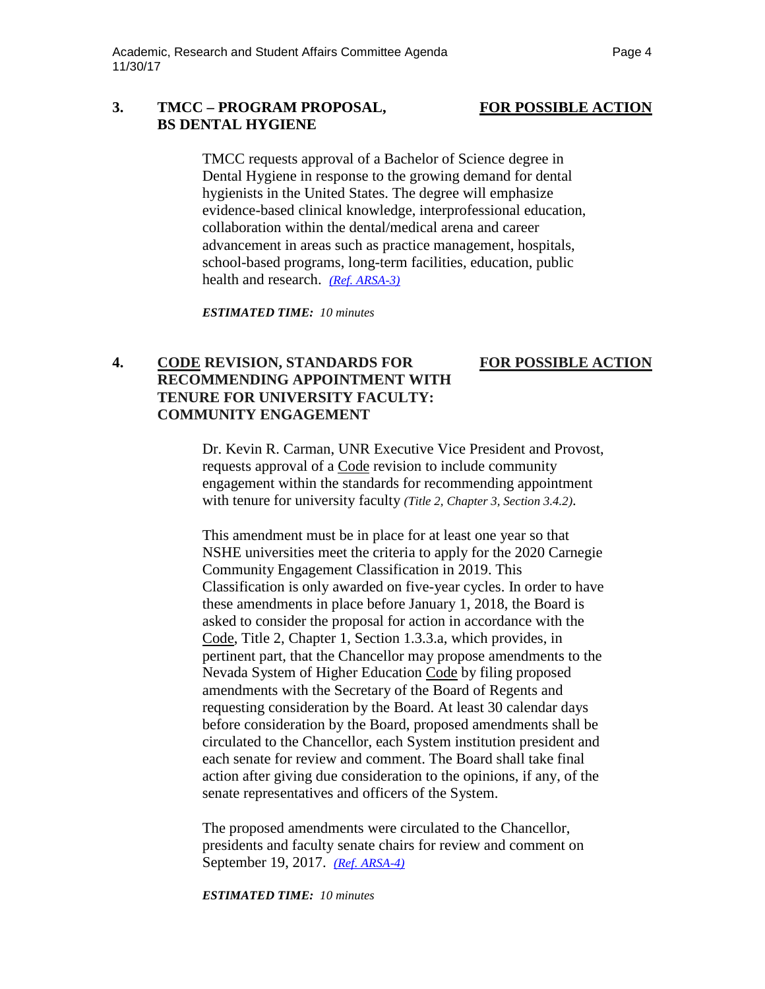### **3. TMCC – PROGRAM PROPOSAL, FOR POSSIBLE ACTION BS DENTAL HYGIENE**

TMCC requests approval of a Bachelor of Science degree in Dental Hygiene in response to the growing demand for dental hygienists in the United States. The degree will emphasize evidence-based clinical knowledge, interprofessional education, collaboration within the dental/medical arena and career advancement in areas such as practice management, hospitals, school-based programs, long-term facilities, education, public health and research. *[\(Ref. ARSA-3\)](https://nshe.nevada.edu/wp-content/uploads/file/BoardOfRegents/Agendas/2017/nov-mtgs/arsa-ref/ARSA-3.pdf)* 

*ESTIMATED TIME: 10 minutes*

### **4. CODE REVISION, STANDARDS FOR FOR POSSIBLE ACTION RECOMMENDING APPOINTMENT WITH TENURE FOR UNIVERSITY FACULTY: COMMUNITY ENGAGEMENT**

Dr. Kevin R. Carman, UNR Executive Vice President and Provost, requests approval of a Code revision to include community engagement within the standards for recommending appointment with tenure for university faculty *(Title 2, Chapter 3, Section 3.4.2)*.

This amendment must be in place for at least one year so that NSHE universities meet the criteria to apply for the 2020 Carnegie Community Engagement Classification in 2019. This Classification is only awarded on five-year cycles. In order to have these amendments in place before January 1, 2018, the Board is asked to consider the proposal for action in accordance with the Code, Title 2, Chapter 1, Section 1.3.3.a, which provides, in pertinent part, that the Chancellor may propose amendments to the Nevada System of Higher Education Code by filing proposed amendments with the Secretary of the Board of Regents and requesting consideration by the Board. At least 30 calendar days before consideration by the Board, proposed amendments shall be circulated to the Chancellor, each System institution president and each senate for review and comment. The Board shall take final action after giving due consideration to the opinions, if any, of the senate representatives and officers of the System.

The proposed amendments were circulated to the Chancellor, presidents and faculty senate chairs for review and comment on September 19, 2017. *(Ref. [ARSA-4\)](https://nshe.nevada.edu/wp-content/uploads/file/BoardOfRegents/Agendas/2017/nov-mtgs/arsa-ref/ARSA-4.pdf)*

*ESTIMATED TIME: 10 minutes*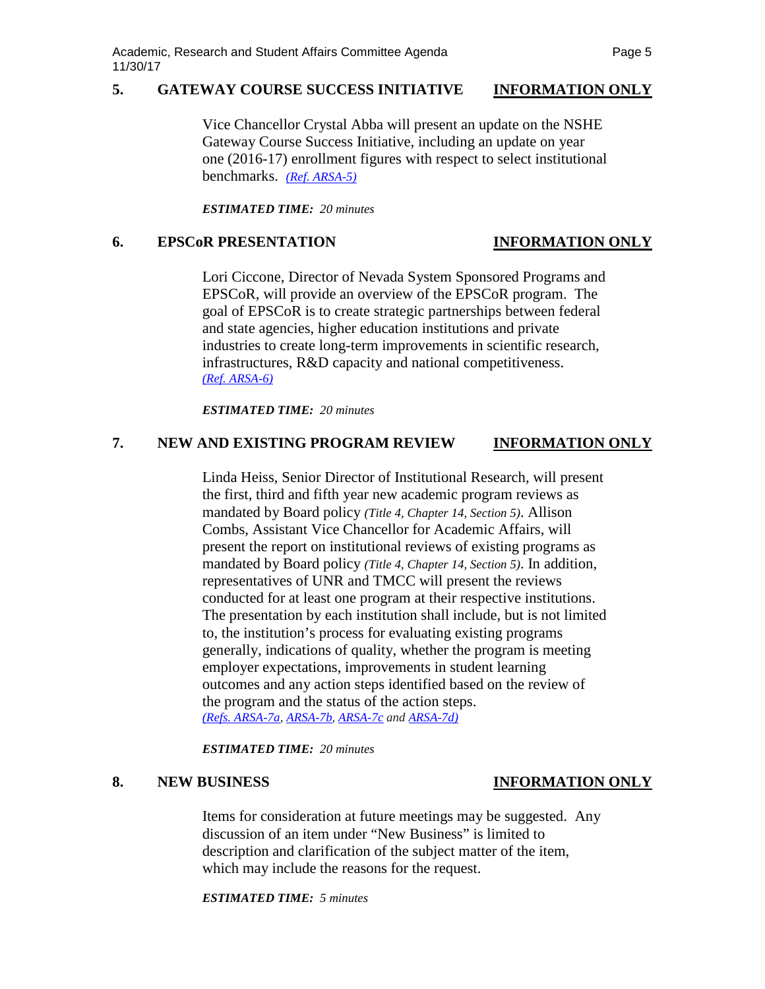# **5. GATEWAY COURSE SUCCESS INITIATIVE INFORMATION ONLY**

Vice Chancellor Crystal Abba will present an update on the NSHE Gateway Course Success Initiative, including an update on year one (2016-17) enrollment figures with respect to select institutional benchmarks. *[\(Ref. ARSA-5\)](https://nshe.nevada.edu/wp-content/uploads/file/BoardOfRegents/Agendas/2017/nov-mtgs/arsa-ref/ARSA-5.pdf)*

*ESTIMATED TIME: 20 minutes*

### **6. EPSCoR PRESENTATION INFORMATION ONLY**

Lori Ciccone, Director of Nevada System Sponsored Programs and EPSCoR, will provide an overview of the EPSCoR program. The goal of EPSCoR is to create strategic partnerships between federal and state agencies, higher education institutions and private industries to create long-term improvements in scientific research, infrastructures, R&D capacity and national competitiveness. *[\(Ref. ARSA-6\)](https://nshe.nevada.edu/wp-content/uploads/file/BoardOfRegents/Agendas/2017/nov-mtgs/arsa-ref/ARSA-6.pdf)*

*ESTIMATED TIME: 20 minutes*

## **7. NEW AND EXISTING PROGRAM REVIEW INFORMATION ONLY**

Linda Heiss, Senior Director of Institutional Research, will present the first, third and fifth year new academic program reviews as mandated by Board policy *(Title 4, Chapter 14, Section 5)*. Allison Combs, Assistant Vice Chancellor for Academic Affairs, will present the report on institutional reviews of existing programs as mandated by Board policy *(Title 4, Chapter 14, Section 5)*. In addition, representatives of UNR and TMCC will present the reviews conducted for at least one program at their respective institutions. The presentation by each institution shall include, but is not limited to, the institution's process for evaluating existing programs generally, indications of quality, whether the program is meeting employer expectations, improvements in student learning outcomes and any action steps identified based on the review of the program and the status of the action steps. *(Refs. [ARSA-7a,](https://nshe.nevada.edu/wp-content/uploads/file/BoardOfRegents/Agendas/2017/nov-mtgs/arsa-ref/ARSA-7a.pdf) [ARSA-7b,](https://nshe.nevada.edu/wp-content/uploads/file/BoardOfRegents/Agendas/2017/nov-mtgs/arsa-ref/ARSA-7b.pdf) [ARSA-7c](https://nshe.nevada.edu/wp-content/uploads/file/BoardOfRegents/Agendas/2017/nov-mtgs/arsa-ref/ARSA-7c.pdf) and [ARSA-7d\)](https://nshe.nevada.edu/wp-content/uploads/file/BoardOfRegents/Agendas/2017/nov-mtgs/arsa-ref/ARSA-7d.pdf)* 

*ESTIMATED TIME: 20 minutes*

# **8. NEW BUSINESS INFORMATION ONLY**

Items for consideration at future meetings may be suggested. Any discussion of an item under "New Business" is limited to description and clarification of the subject matter of the item, which may include the reasons for the request.

*ESTIMATED TIME: 5 minutes*